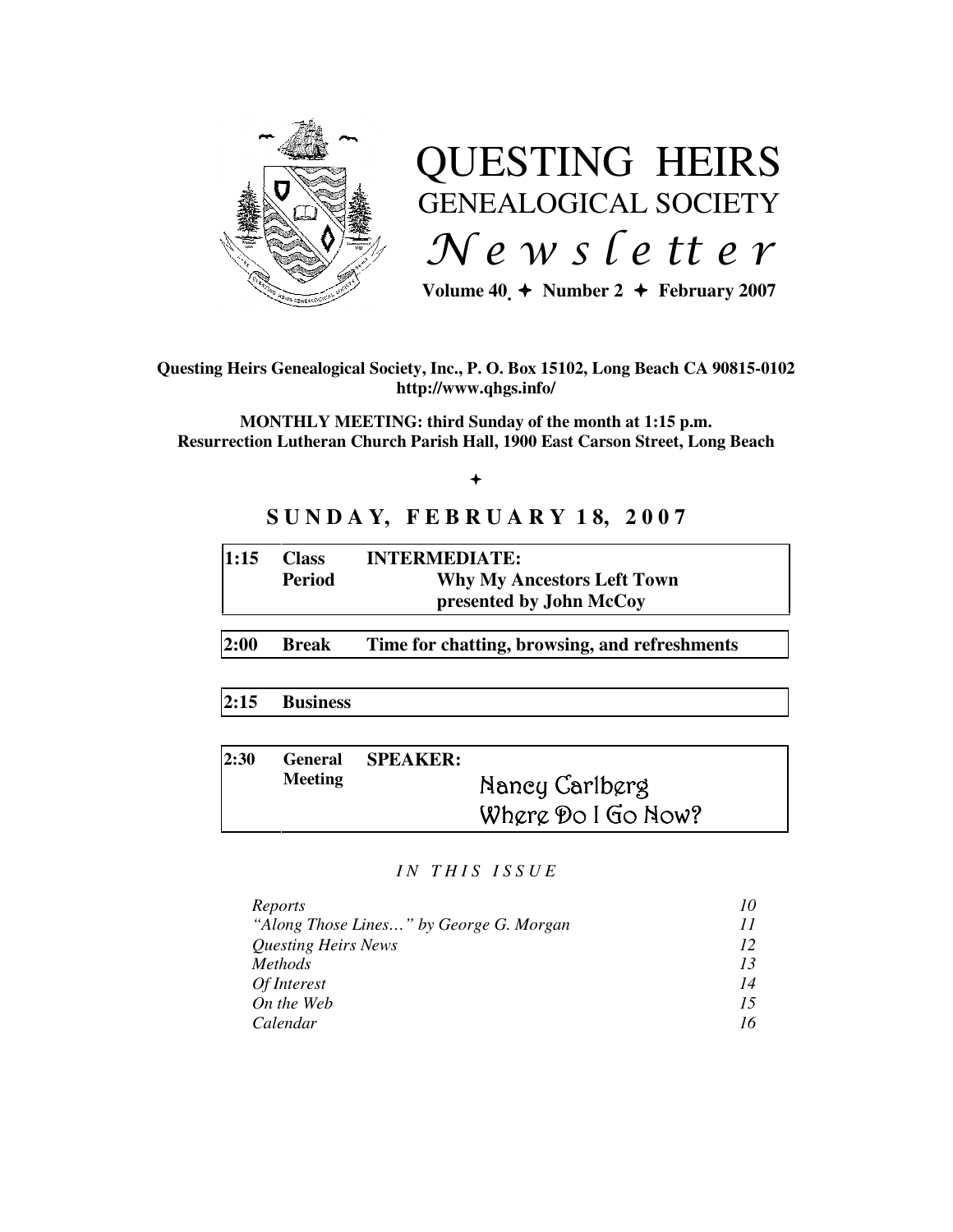

# QUESTING HEIRS GENEALOGICAL SOCIETY  $Ne$  w s letter

Volume  $40 \div \text{Number 2} \div \text{February } 2007$ 

**Questing Heirs Genealogical Society, Inc., P. O. Box 15102, Long Beach CA 90815-0102 http://www.qhgs.info/** 

**MONTHLY MEETING: third Sunday of the month at 1:15 p.m. Resurrection Lutheran Church Parish Hall, 1900 East Carson Street, Long Beach** 

# $+$

# **S U N D A Y, F E B R U A R Y 1 8, 2 0 0 7**

| 1:15 | <b>Class</b> | <b>INTERMEDIATE:</b>              |
|------|--------------|-----------------------------------|
|      | Period       | <b>Why My Ancestors Left Town</b> |
|      |              | presented by John McCoy           |

**2:00 Break Time for chatting, browsing, and refreshments** 

**2:15 Business** 

| 2:30 |                | General SPEAKER: |                    |
|------|----------------|------------------|--------------------|
|      | <b>Meeting</b> |                  | Nancy Carlberg     |
|      |                |                  | Where Do I Go Now? |

#### *I N T H I S I S S U E*

| Reports                                 |    |
|-----------------------------------------|----|
| "Along Those Lines" by George G. Morgan |    |
| <b>Questing Heirs News</b>              | 12 |
| <i>Methods</i>                          | 13 |
| Of Interest                             | 14 |
| On the Web                              | 15 |
| Calendar                                | 16 |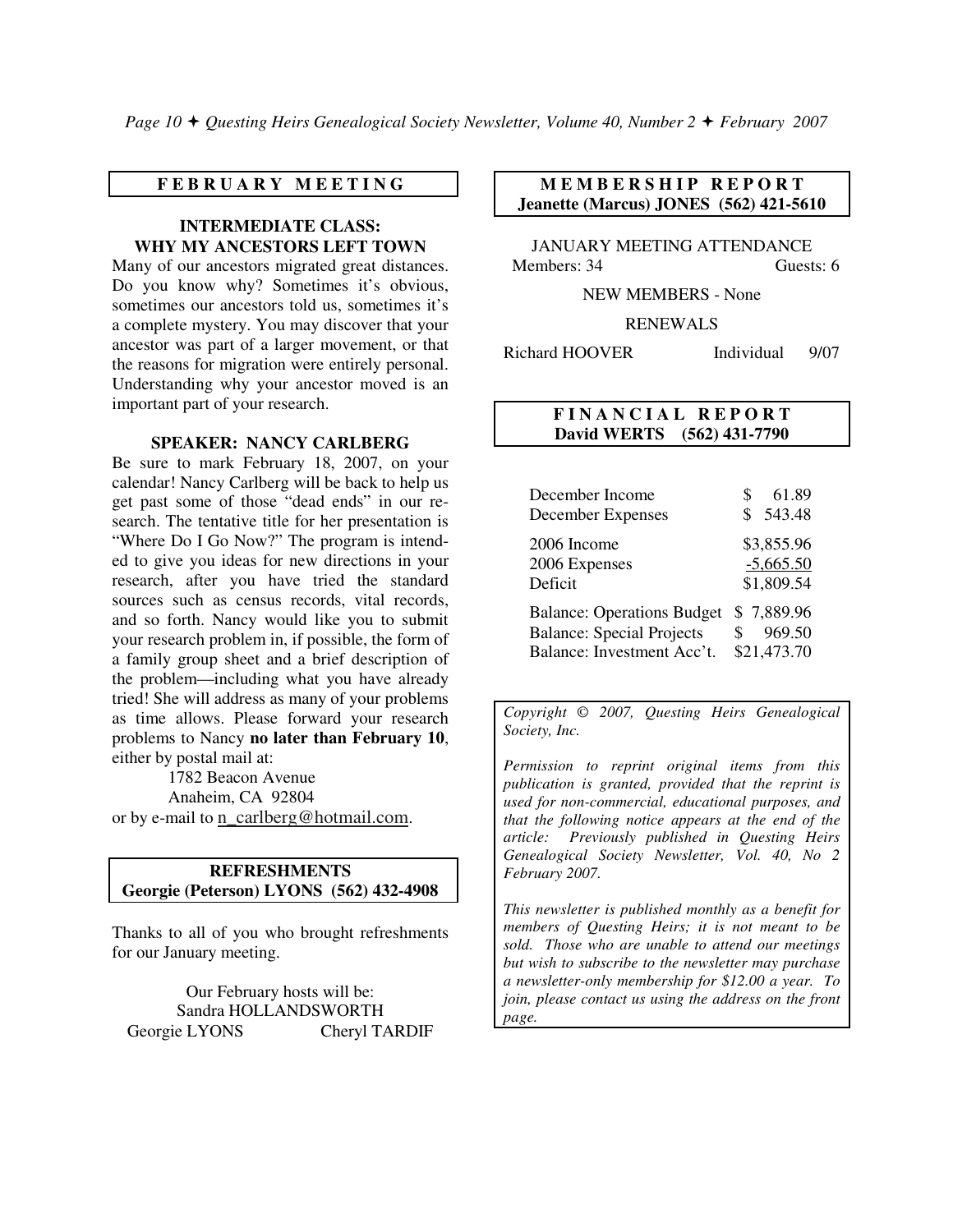#### **F E B R U A R Y M E E T I N G**

#### **INTERMEDIATE CLASS: WHY MY ANCESTORS LEFT TOWN**

Many of our ancestors migrated great distances. Do you know why? Sometimes it's obvious, sometimes our ancestors told us, sometimes it's a complete mystery. You may discover that your ancestor was part of a larger movement, or that the reasons for migration were entirely personal. Understanding why your ancestor moved is an important part of your research.

#### **SPEAKER: NANCY CARLBERG**

Be sure to mark February 18, 2007, on your calendar! Nancy Carlberg will be back to help us get past some of those "dead ends" in our research. The tentative title for her presentation is "Where Do I Go Now?" The program is intended to give you ideas for new directions in your research, after you have tried the standard sources such as census records, vital records, and so forth. Nancy would like you to submit your research problem in, if possible, the form of a family group sheet and a brief description of the problem—including what you have already tried! She will address as many of your problems as time allows. Please forward your research problems to Nancy **no later than February 10**, either by postal mail at:

 1782 Beacon Avenue Anaheim, CA 92804 or by e-mail to n\_carlberg@hotmail.com.

#### **REFRESHMENTS Georgie (Peterson) LYONS (562) 432-4908**

Thanks to all of you who brought refreshments for our January meeting.

Our February hosts will be: Sandra HOLLANDSWORTH Georgie LYONS Cheryl TARDIF

# **MEMBERSHIP REPORT Jeanette (Marcus) JONES (562) 421-5610**

JANUARY MEETING ATTENDANCE Members: 34 Guests: 6

NEW MEMBERS - None

RENEWALS

Richard HOOVER Individual 9/07

## **F I N A N C I A L R E P O R T David WERTS (562) 431-7790**

| December Income<br>December Expenses | 61.89<br>543.48<br>\$ |
|--------------------------------------|-----------------------|
| 2006 Income                          | \$3,855.96            |
| 2006 Expenses                        | $-5,665.50$           |
| Deficit                              | \$1,809.54            |
| <b>Balance: Operations Budget</b>    | \$7,889.96            |
| <b>Balance: Special Projects</b>     | 969.50                |
| Balance: Investment Acc't.           | \$21,473.70           |

*Copyright* © *2007, Questing Heirs Genealogical Society, Inc.* 

*Permission to reprint original items from this publication is granted, provided that the reprint is used for non-commercial, educational purposes, and that the following notice appears at the end of the article: Previously published in Questing Heirs Genealogical Society Newsletter, Vol. 40, No 2 February 2007.* 

*This newsletter is published monthly as a benefit for members of Questing Heirs; it is not meant to be sold. Those who are unable to attend our meetings but wish to subscribe to the newsletter may purchase a newsletter-only membership for \$12.00 a year. To join, please contact us using the address on the front page.*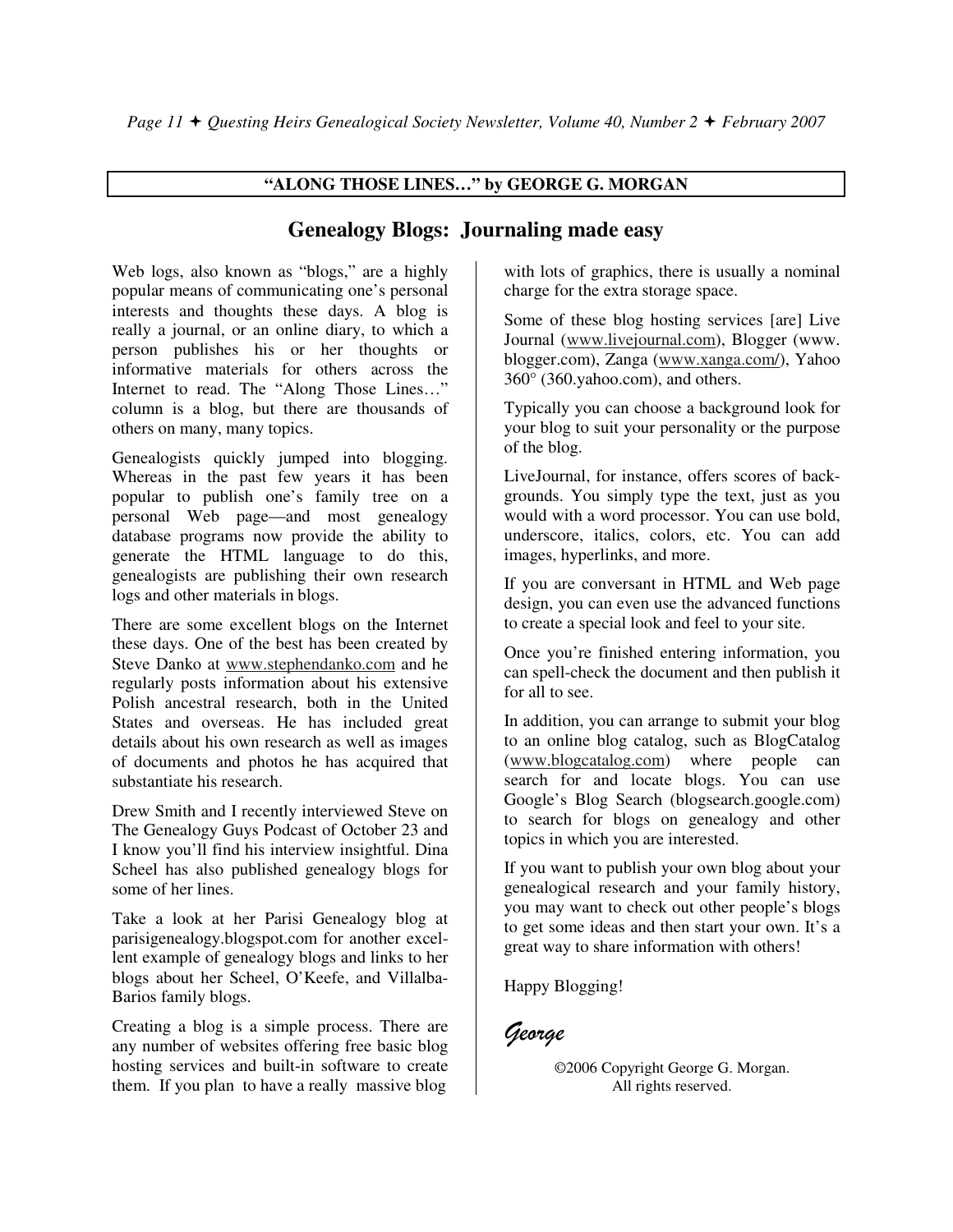# **"ALONG THOSE LINES…" by GEORGE G. MORGAN**

# **Genealogy Blogs: Journaling made easy**

Web logs, also known as "blogs," are a highly popular means of communicating one's personal interests and thoughts these days. A blog is really a journal, or an online diary, to which a person publishes his or her thoughts or informative materials for others across the Internet to read. The "Along Those Lines…" column is a blog, but there are thousands of others on many, many topics.

Genealogists quickly jumped into blogging. Whereas in the past few years it has been popular to publish one's family tree on a personal Web page—and most genealogy database programs now provide the ability to generate the HTML language to do this, genealogists are publishing their own research logs and other materials in blogs.

There are some excellent blogs on the Internet these days. One of the best has been created by Steve Danko at www.stephendanko.com and he regularly posts information about his extensive Polish ancestral research, both in the United States and overseas. He has included great details about his own research as well as images of documents and photos he has acquired that substantiate his research.

Drew Smith and I recently interviewed Steve on The Genealogy Guys Podcast of October 23 and I know you'll find his interview insightful. Dina Scheel has also published genealogy blogs for some of her lines.

Take a look at her Parisi Genealogy blog at parisigenealogy.blogspot.com for another excellent example of genealogy blogs and links to her blogs about her Scheel, O'Keefe, and Villalba-Barios family blogs.

Creating a blog is a simple process. There are any number of websites offering free basic blog hosting services and built-in software to create them. If you plan to have a really massive blog

with lots of graphics, there is usually a nominal charge for the extra storage space.

Some of these blog hosting services [are] Live Journal (www.livejournal.com), Blogger (www. blogger.com), Zanga (www.xanga.com/), Yahoo 360° (360.yahoo.com), and others.

Typically you can choose a background look for your blog to suit your personality or the purpose of the blog.

LiveJournal, for instance, offers scores of backgrounds. You simply type the text, just as you would with a word processor. You can use bold, underscore, italics, colors, etc. You can add images, hyperlinks, and more.

If you are conversant in HTML and Web page design, you can even use the advanced functions to create a special look and feel to your site.

Once you're finished entering information, you can spell-check the document and then publish it for all to see.

In addition, you can arrange to submit your blog to an online blog catalog, such as BlogCatalog (www.blogcatalog.com) where people can search for and locate blogs. You can use Google's Blog Search (blogsearch.google.com) to search for blogs on genealogy and other topics in which you are interested.

If you want to publish your own blog about your genealogical research and your family history, you may want to check out other people's blogs to get some ideas and then start your own. It's a great way to share information with others!

Happy Blogging!

George

©2006 Copyright George G. Morgan. All rights reserved.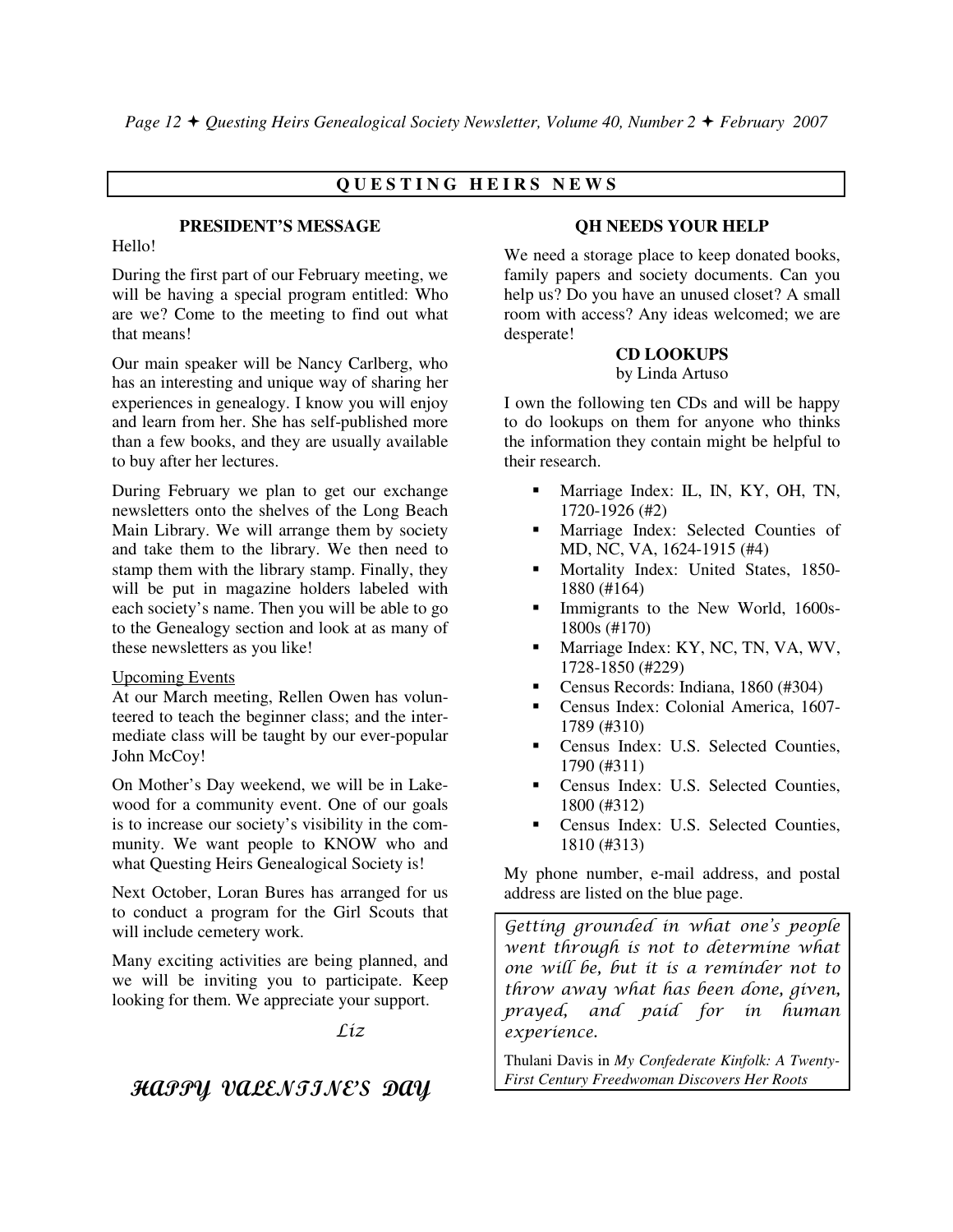# **Q U E S T I N G H E I R S N E W S**

## **PRESIDENT'S MESSAGE**

#### Hello!

During the first part of our February meeting, we will be having a special program entitled: Who are we? Come to the meeting to find out what that means!

Our main speaker will be Nancy Carlberg, who has an interesting and unique way of sharing her experiences in genealogy. I know you will enjoy and learn from her. She has self-published more than a few books, and they are usually available to buy after her lectures.

During February we plan to get our exchange newsletters onto the shelves of the Long Beach Main Library. We will arrange them by society and take them to the library. We then need to stamp them with the library stamp. Finally, they will be put in magazine holders labeled with each society's name. Then you will be able to go to the Genealogy section and look at as many of these newsletters as you like!

#### Upcoming Events

At our March meeting, Rellen Owen has volunteered to teach the beginner class; and the intermediate class will be taught by our ever-popular John McCoy!

On Mother's Day weekend, we will be in Lakewood for a community event. One of our goals is to increase our society's visibility in the community. We want people to KNOW who and what Questing Heirs Genealogical Society is!

Next October, Loran Bures has arranged for us to conduct a program for the Girl Scouts that will include cemetery work.

Many exciting activities are being planned, and we will be inviting you to participate. Keep looking for them. We appreciate your support.

Liz

# HAPPY VALENTINE'S DAY

# **QH NEEDS YOUR HELP**

We need a storage place to keep donated books, family papers and society documents. Can you help us? Do you have an unused closet? A small room with access? Any ideas welcomed; we are desperate!

#### **CD LOOKUPS**

#### by Linda Artuso

I own the following ten CDs and will be happy to do lookups on them for anyone who thinks the information they contain might be helpful to their research.

- - Marriage Index: IL, IN, KY, OH, TN, 1720-1926 (#2)
- - Marriage Index: Selected Counties of MD, NC, VA, 1624-1915 (#4)
- - Mortality Index: United States, 1850- 1880 (#164)
- - Immigrants to the New World, 1600s-1800s (#170)
- - Marriage Index: KY, NC, TN, VA, WV, 1728-1850 (#229)
- -Census Records: Indiana, 1860 (#304)
- - Census Index: Colonial America, 1607- 1789 (#310)
- **Census Index: U.S. Selected Counties,** 1790 (#311)
- - Census Index: U.S. Selected Counties, 1800 (#312)
- - Census Index: U.S. Selected Counties, 1810 (#313)

My phone number, e-mail address, and postal address are listed on the blue page.

Getting grounded in what one's people went through is not to determine what one will be, but it is a reminder not to throw away what has been done, given, prayed, and paid for in human experience.

Thulani Davis in *My Confederate Kinfolk: A Twenty-First Century Freedwoman Discovers Her Roots*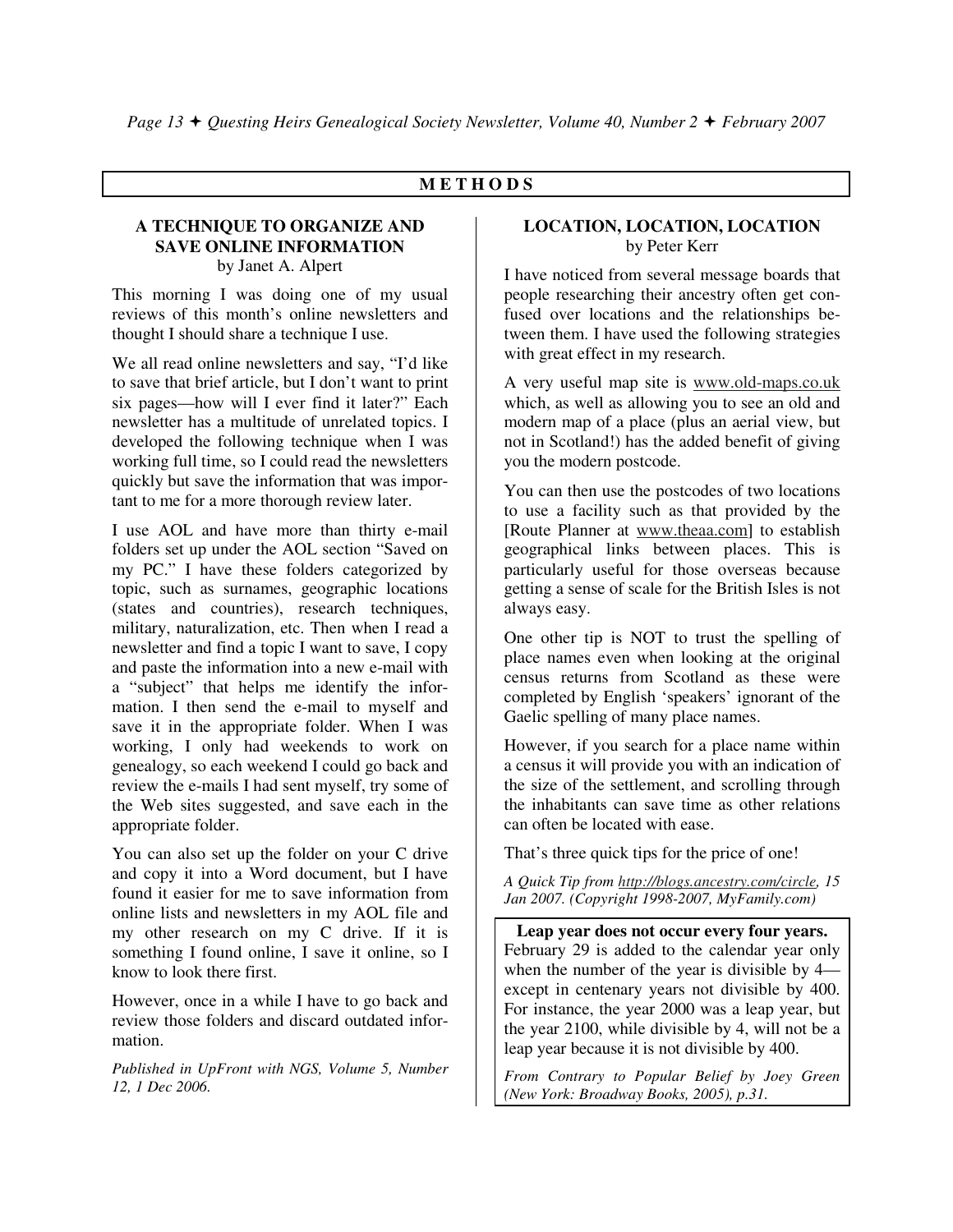# **M E T H O D S**

#### **A TECHNIQUE TO ORGANIZE AND SAVE ONLINE INFORMATION** by Janet A. Alpert

This morning I was doing one of my usual reviews of this month's online newsletters and thought I should share a technique I use.

We all read online newsletters and say, "I'd like to save that brief article, but I don't want to print six pages—how will I ever find it later?" Each newsletter has a multitude of unrelated topics. I developed the following technique when I was working full time, so I could read the newsletters quickly but save the information that was important to me for a more thorough review later.

I use AOL and have more than thirty e-mail folders set up under the AOL section "Saved on my PC." I have these folders categorized by topic, such as surnames, geographic locations (states and countries), research techniques, military, naturalization, etc. Then when I read a newsletter and find a topic I want to save, I copy and paste the information into a new e-mail with a "subject" that helps me identify the information. I then send the e-mail to myself and save it in the appropriate folder. When I was working, I only had weekends to work on genealogy, so each weekend I could go back and review the e-mails I had sent myself, try some of the Web sites suggested, and save each in the appropriate folder.

You can also set up the folder on your C drive and copy it into a Word document, but I have found it easier for me to save information from online lists and newsletters in my AOL file and my other research on my C drive. If it is something I found online, I save it online, so I know to look there first.

However, once in a while I have to go back and review those folders and discard outdated information.

*Published in UpFront with NGS, Volume 5, Number 12, 1 Dec 2006.* 

# **LOCATION, LOCATION, LOCATION** by Peter Kerr

I have noticed from several message boards that people researching their ancestry often get confused over locations and the relationships between them. I have used the following strategies with great effect in my research.

A very useful map site is www.old-maps.co.uk which, as well as allowing you to see an old and modern map of a place (plus an aerial view, but not in Scotland!) has the added benefit of giving you the modern postcode.

You can then use the postcodes of two locations to use a facility such as that provided by the [Route Planner at www.theaa.com] to establish geographical links between places. This is particularly useful for those overseas because getting a sense of scale for the British Isles is not always easy.

One other tip is NOT to trust the spelling of place names even when looking at the original census returns from Scotland as these were completed by English 'speakers' ignorant of the Gaelic spelling of many place names.

However, if you search for a place name within a census it will provide you with an indication of the size of the settlement, and scrolling through the inhabitants can save time as other relations can often be located with ease.

That's three quick tips for the price of one!

*A Quick Tip from http://blogs.ancestry.com/circle, 15 Jan 2007. (Copyright 1998-2007, MyFamily.com)* 

**Leap year does not occur every four years.**  February 29 is added to the calendar year only when the number of the year is divisible by 4 except in centenary years not divisible by 400. For instance, the year 2000 was a leap year, but the year 2100, while divisible by 4, will not be a leap year because it is not divisible by 400.

*From Contrary to Popular Belief by Joey Green (New York: Broadway Books, 2005), p.31.*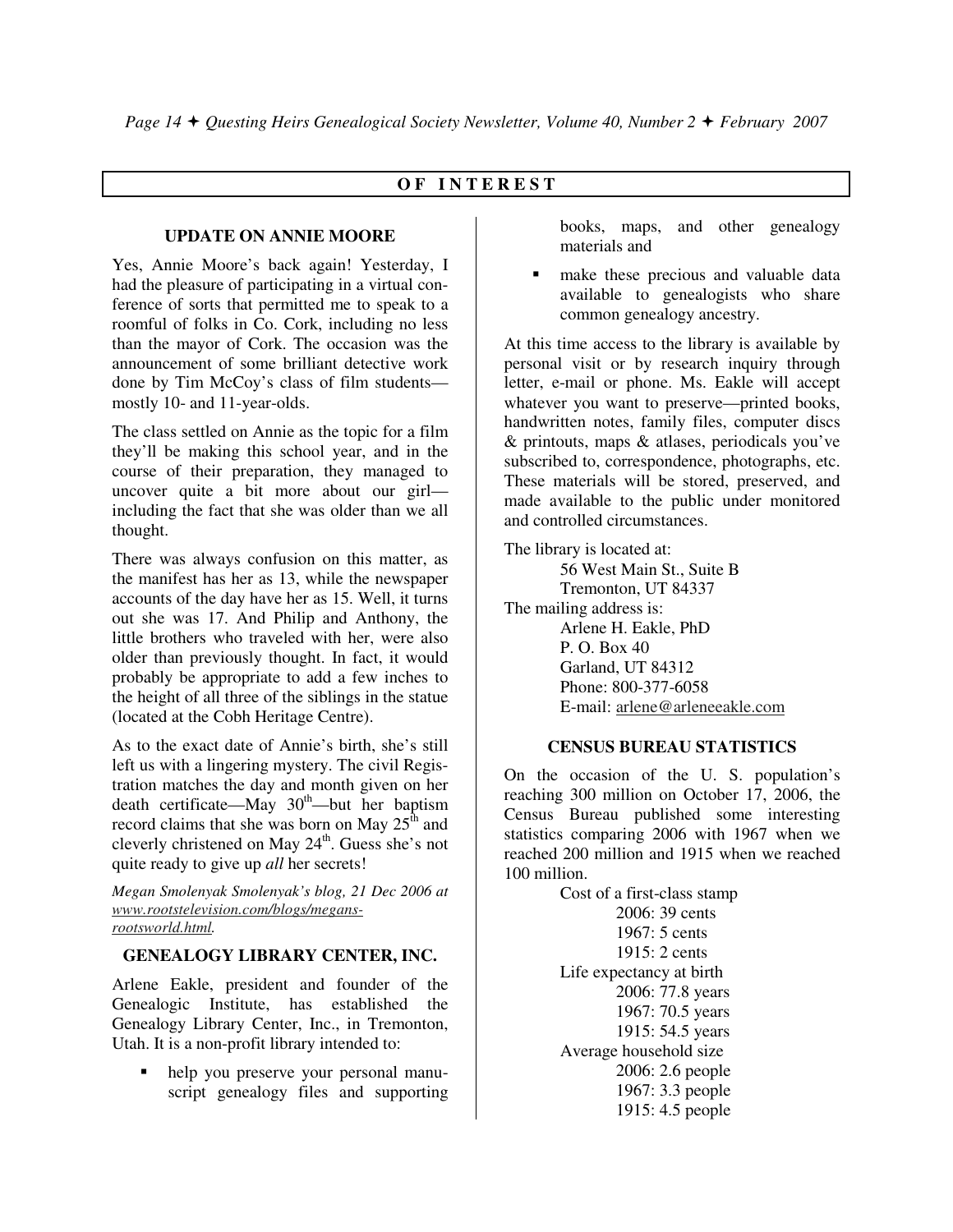# **O F I N T E R E S T**

# **UPDATE ON ANNIE MOORE**

Yes, Annie Moore's back again! Yesterday, I had the pleasure of participating in a virtual conference of sorts that permitted me to speak to a roomful of folks in Co. Cork, including no less than the mayor of Cork. The occasion was the announcement of some brilliant detective work done by Tim McCoy's class of film students mostly 10- and 11-year-olds.

The class settled on Annie as the topic for a film they'll be making this school year, and in the course of their preparation, they managed to uncover quite a bit more about our girl including the fact that she was older than we all thought.

There was always confusion on this matter, as the manifest has her as 13, while the newspaper accounts of the day have her as 15. Well, it turns out she was 17. And Philip and Anthony, the little brothers who traveled with her, were also older than previously thought. In fact, it would probably be appropriate to add a few inches to the height of all three of the siblings in the statue (located at the Cobh Heritage Centre).

As to the exact date of Annie's birth, she's still left us with a lingering mystery. The civil Registration matches the day and month given on her death certificate—May  $30<sup>th</sup>$ —but her baptism record claims that she was born on May  $25<sup>th</sup>$  and cleverly christened on May  $24<sup>th</sup>$ . Guess she's not quite ready to give up *all* her secrets!

*Megan Smolenyak Smolenyak's blog, 21 Dec 2006 at www.rootstelevision.com/blogs/megansrootsworld.html.* 

#### **GENEALOGY LIBRARY CENTER, INC.**

Arlene Eakle, president and founder of the Genealogic Institute, has established the Genealogy Library Center, Inc., in Tremonton, Utah. It is a non-profit library intended to:

 help you preserve your personal manuscript genealogy files and supporting books, maps, and other genealogy materials and

 make these precious and valuable data available to genealogists who share common genealogy ancestry.

At this time access to the library is available by personal visit or by research inquiry through letter, e-mail or phone. Ms. Eakle will accept whatever you want to preserve—printed books, handwritten notes, family files, computer discs & printouts, maps & atlases, periodicals you've subscribed to, correspondence, photographs, etc. These materials will be stored, preserved, and made available to the public under monitored and controlled circumstances.

The library is located at: 56 West Main St., Suite B Tremonton, UT 84337 The mailing address is: Arlene H. Eakle, PhD P. O. Box 40 Garland, UT 84312 Phone: 800-377-6058 E-mail: arlene@arleneeakle.com

#### **CENSUS BUREAU STATISTICS**

On the occasion of the U. S. population's reaching 300 million on October 17, 2006, the Census Bureau published some interesting statistics comparing 2006 with 1967 when we reached 200 million and 1915 when we reached 100 million.

> Cost of a first-class stamp 2006: 39 cents 1967: 5 cents 1915: 2 cents Life expectancy at birth 2006: 77.8 years 1967: 70.5 years 1915: 54.5 years Average household size 2006: 2.6 people 1967: 3.3 people 1915: 4.5 people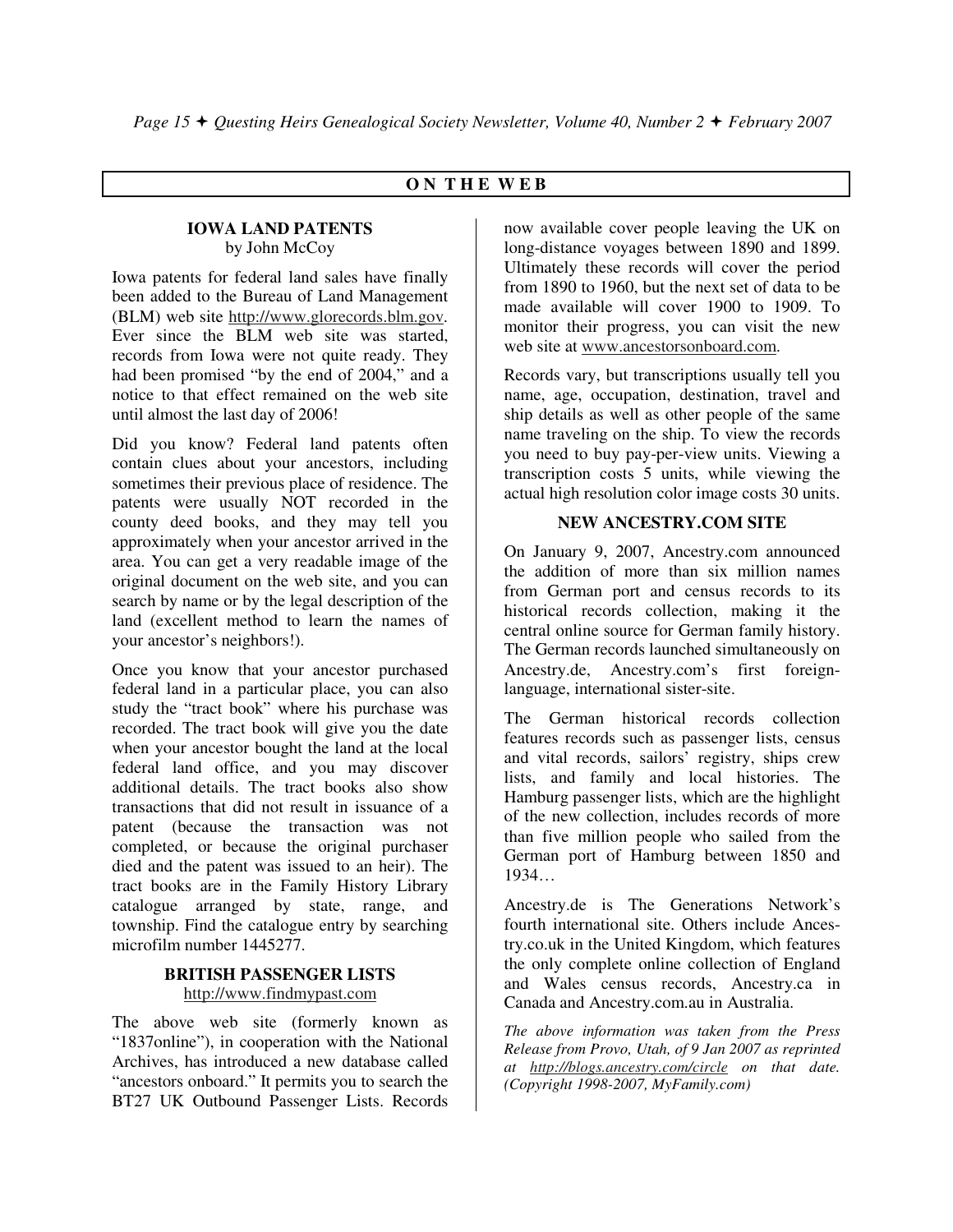# **O N T H E W E B**

#### **IOWA LAND PATENTS**  by John McCoy

Iowa patents for federal land sales have finally been added to the Bureau of Land Management (BLM) web site http://www.glorecords.blm.gov. Ever since the BLM web site was started, records from Iowa were not quite ready. They had been promised "by the end of 2004," and a notice to that effect remained on the web site until almost the last day of 2006!

Did you know? Federal land patents often contain clues about your ancestors, including sometimes their previous place of residence. The patents were usually NOT recorded in the county deed books, and they may tell you approximately when your ancestor arrived in the area. You can get a very readable image of the original document on the web site, and you can search by name or by the legal description of the land (excellent method to learn the names of your ancestor's neighbors!).

Once you know that your ancestor purchased federal land in a particular place, you can also study the "tract book" where his purchase was recorded. The tract book will give you the date when your ancestor bought the land at the local federal land office, and you may discover additional details. The tract books also show transactions that did not result in issuance of a patent (because the transaction was not completed, or because the original purchaser died and the patent was issued to an heir). The tract books are in the Family History Library catalogue arranged by state, range, and township. Find the catalogue entry by searching microfilm number 1445277.

#### **BRITISH PASSENGER LISTS**  http://www.findmypast.com

The above web site (formerly known as "1837online"), in cooperation with the National Archives, has introduced a new database called "ancestors onboard." It permits you to search the BT27 UK Outbound Passenger Lists. Records

now available cover people leaving the UK on long-distance voyages between 1890 and 1899. Ultimately these records will cover the period from 1890 to 1960, but the next set of data to be made available will cover 1900 to 1909. To monitor their progress, you can visit the new web site at www.ancestorsonboard.com.

Records vary, but transcriptions usually tell you name, age, occupation, destination, travel and ship details as well as other people of the same name traveling on the ship. To view the records you need to buy pay-per-view units. Viewing a transcription costs 5 units, while viewing the actual high resolution color image costs 30 units.

#### **NEW ANCESTRY.COM SITE**

On January 9, 2007, Ancestry.com announced the addition of more than six million names from German port and census records to its historical records collection, making it the central online source for German family history. The German records launched simultaneously on Ancestry.de, Ancestry.com's first foreignlanguage, international sister-site.

The German historical records collection features records such as passenger lists, census and vital records, sailors' registry, ships crew lists, and family and local histories. The Hamburg passenger lists, which are the highlight of the new collection, includes records of more than five million people who sailed from the German port of Hamburg between 1850 and 1934…

Ancestry.de is The Generations Network's fourth international site. Others include Ancestry.co.uk in the United Kingdom, which features the only complete online collection of England and Wales census records, Ancestry.ca in Canada and Ancestry.com.au in Australia.

*The above information was taken from the Press Release from Provo, Utah, of 9 Jan 2007 as reprinted at http://blogs.ancestry.com/circle on that date. (Copyright 1998-2007, MyFamily.com)*